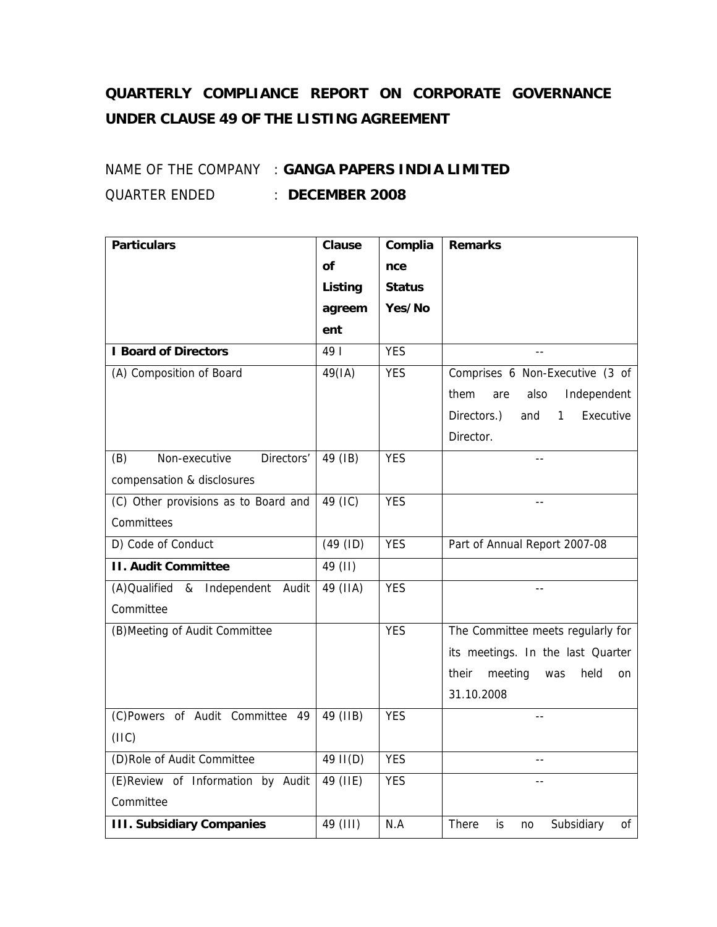## **QUARTERLY COMPLIANCE REPORT ON CORPORATE GOVERNANCE UNDER CLAUSE 49 OF THE LISTING AGREEMENT**

## NAME OF THE COMPANY : **GANGA PAPERS INDIA LIMITED** QUARTER ENDED : **DECEMBER 2008**

| <b>Particulars</b>                   | <b>Clause</b> | Complia       | <b>Remarks</b>                        |
|--------------------------------------|---------------|---------------|---------------------------------------|
|                                      | <b>of</b>     | nce           |                                       |
|                                      | Listing       | <b>Status</b> |                                       |
|                                      | agreem        | Yes/No        |                                       |
|                                      | ent           |               |                                       |
| <b>I Board of Directors</b>          | 49            | <b>YES</b>    | $\sim$ $\sim$                         |
| (A) Composition of Board             | 49(IA)        | <b>YES</b>    | Comprises 6 Non-Executive (3 of       |
|                                      |               |               | Independent<br>them<br>also<br>are    |
|                                      |               |               | Directors.)<br>Executive<br>1<br>and  |
|                                      |               |               | Director.                             |
| (B)<br>Non-executive<br>Directors'   | 49 (IB)       | <b>YES</b>    |                                       |
| compensation & disclosures           |               |               |                                       |
| (C) Other provisions as to Board and | 49 (IC)       | <b>YES</b>    |                                       |
| Committees                           |               |               |                                       |
| D) Code of Conduct                   | (49 (ID)      | <b>YES</b>    | Part of Annual Report 2007-08         |
| <b>II. Audit Committee</b>           | 49 (II)       |               |                                       |
| (A) Qualified & Independent Audit    | 49 (IIA)      | <b>YES</b>    |                                       |
| Committee                            |               |               |                                       |
| (B) Meeting of Audit Committee       |               | <b>YES</b>    | The Committee meets regularly for     |
|                                      |               |               | its meetings. In the last Quarter     |
|                                      |               |               | meeting<br>held<br>their<br>was<br>on |
|                                      |               |               | 31.10.2008                            |
| (C)Powers of Audit Committee 49      | 49 (IIB)      | <b>YES</b>    |                                       |
| (IIIC)                               |               |               |                                       |
| (D)Role of Audit Committee           | 49 II(D)      | <b>YES</b>    | $-$                                   |
| (E)Review of Information by Audit    | 49 (IIE)      | <b>YES</b>    |                                       |
| Committee                            |               |               |                                       |
| <b>III. Subsidiary Companies</b>     | 49 (III)      | N.A           | There<br>Subsidiary<br>0f<br>is<br>no |